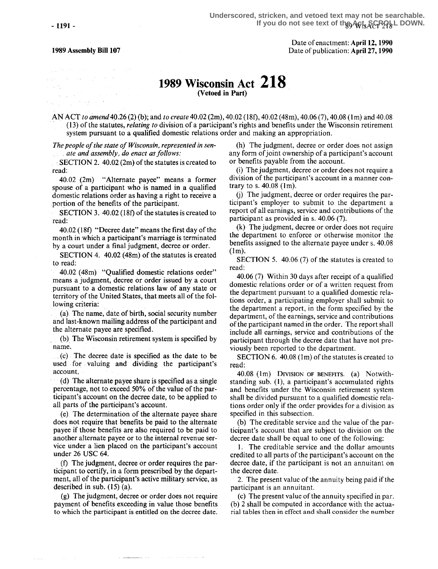1989 Assembly Bill 107

e e tras<br>Tomas de Polonia (m. 1918)<br>Mangolio (M. 1948) e Mont

particular particular in the same page of the construction of the Con-

Date of enactment: April 12, 1990 Date of publication: April 27,1990

## 1989 Wisconsin Act 218 (Vetoed in Part)

AN ACT to amend 40.26 (2) (b); and to create 40.02 (2m), 40.02 (18f), 40.02 (48m), 40.06 (7), 40.08 (1m) and 40.08 (13) of the statutes, relating to division of a participant's rights and benefits under the Wisconsin retirement system pursuant to a qualified domestic relations order and making an appropriation .

The people of the state of Wisconsin, represented in senate and assembly, do enact as follows:

 $\therefore$ SECTION 2. 40.02 (2m) of the statutes is created to read:

40.02 (2m) "Alternate payee" means a former spouse of a participant who is named in a qualified domestic relations order as having a right to receive a portion of the benefits of the participant.

SECTION 3. 40.02 (18f) of the statutes is created to read:

40.02 (18f) "Decree date" means the first day of the month in which a participant's marriage is terminated by a court under a final judgment; decree or order.

SECTION 4. 40.02 (4Sm) of the statutes is created to read:

40.02 (48m) "Qualified domestic relations order" means a judgment, decree or order issued by a court pursuant to a domestic relations law of any state or territory of the United States, that meets all of the following criteria:

(a) The name, date. of birth, social security number and last-known mailing address of the participant and the alternate payee are specified.

(b), The Wisconsin retirement system is specified by name.

(c) The decree date is specified as the date to be used for valuing and dividing the participant's account.

(d) The alternate payee share is specified as a single percentage, not to exceed 50% of the value of the participant's account on the decree date, to be applied to all parts of the participant's account.

(e) The determination of the alternate payee share does not require that benefits be paid to the alternate payee if those benefits are also required to be paid to another alternate payee or to the internal revenue service under a lien placed on the participant's account under 26 USC 64.

 $(f)$  The judgment, decree or order requires the participant to certify, in a form prescribed by the department, all of the participant's active military service, as described in sub. (15) (a).

(g) The judgment, decree or order does not require payment of benefits exceeding in value those benefits to which the participant is entitled on the decree date.

(h) The judgment, decree or order does not assign any form of joint ownership of a participant's account or benefits payable from the account.

(i) The judgment, decree or order does not require a division of the participant's account in a manner contrary to s. 40.08 (1m).

(j) The judgment, decree or order requires the participant's employer to submit to the department a report of all earnings, service and contributions of the participant as provided in s. 40.06 (7).

(k) The judgment, decree or order does not require the department to enforce or otherwise monitor the benefits assigned to the alternate payee under s. 40.08  $(1m)$ .

SECTION 5. 40.06 (7) of the statutes is created to read:

40.06 (7) Within 30 days after receipt of a qualified domestic relations order or of a written request from the department pursuant to a qualified domestic relations order, a participating employer shall submit to the department a report, in the form specified by the department, of the earnings, service and contributions of the participant named in the order. The report shall include all earnings, service and contributions of the participant through the decree date that have not previously been reported to the department.

SECTION 6. 40.08 (1m) of the statutes is created to read:

 $40.08$  (1m) DIVISION OF BENEFITS. (a) Notwithstanding sub. (1), a participant's accumulated rights and benefits under the Wisconsin retirement system shall be divided pursuant to a qualified domestic relations order only if the order provides for a division as specified in this subsection.

(b) The creditable service and the value of the participant's account that are subject to division on the decree date shall be equal to one of the following:

1. The creditable service and the dollar amounts credited to all parts of the participant's account on the decree date, if the participant is not an annuitant on the decree date.

2. The present value of the annuity being paid if the participant is an annuitant.

(c) The present value of the annuity specified in par. (b) 2 shall be computed in accordance with the actuarial tables then in effect and shall consider the number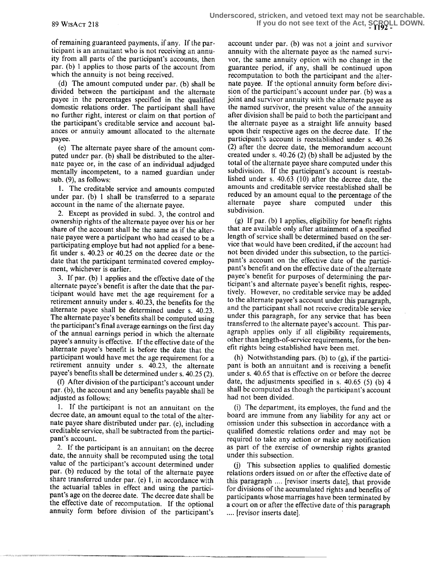of remaining guaranteed payments, if any. If the participant is an annuitant who is not receiving an annuity from all parts of the participant's accounts, then par. (b) 1 applies to those parts of the account from which the annuity is not being received.

(d) The amount computed under par. (b) shall be divided between the participant and the alternate payee in the percentages specified in the qualified domestic relations order. The participant shall have no further right, interest or claim on that portion of the participant's creditable service and account balances or annuity amount allocated to the alternate payee.

(e) The alternate payee share of the amount computed under par. (b) shall be distributed to the alternate payee or, in the case of an individual adjudged mentally incompetent, to a named guardian under sub. (9), as follows:

1. The creditable service and amounts computed under par. (b) 1 shall be transferred to a separate account in the name of the alternate payee.

2. Except as provided in subd. 3, the control and ownership rights of the alternate payee over his or her share of the account shall be the same as if the alternate payee were a participant who had ceased to be a participating employe but had not applied for a benefit under s. 40.23 or 40.25 on the decree date or the date that the participant terminated covered employment, whichever is earlier.

3. If par. (b) 1 applies and the effective date of the alternate payee's benefit is after the date that the participant would have met the age requirement for a retirement annuity under s. 40.23, the benefits for the alternate payee shall be determined under s. 40.23. The alternate payee's benefits shall be computed using the participant's final average earnings on the first day of the annual earnings period in which the alternate payee's annuity is effective. If the effective date of the alternate payee's benefit is before the date that the participant would have met the age requirement for a retirement annuity under s. 40.23, the alternate payee's benefits shall be determined under s. 40 .25 (2).

(f) After division of the participant's account under par. (b), the account and any benefits payable shall be adjusted as follows:

1. If the participant is not an annuitant on the decree date, an amount equal to the total of the alternate payee share distributed under par. (e), including creditable service, shall be subtracted from the participant's account.

2. If the participant is an annuitant on the decree date, the annuity shall be recomputed using the total value of the participant's account determined under par. (b) reduced by the total of the alternate payee share transferred under par. (e) 1, in accordance with the actuarial tables in effect and using the participant's age on the decree date. The decree date shall be the effective date of recomputation. If the optional annuity form before division of the participant's

account under par. (b) was not a joint and survivor annuity with the alternate payee as the named survivor, the same annuity option with no change in the guarantee period, if any, shall be continued upon recomputation to both the participant and the alternate payee. If the optional annuity form before division of the participant's account under par. (b) was a joint and survivor annuity with the alternate payee as the named survivor, the present value of the annuity after division shall be paid to both the participant and the alternate payee as a straight life annuity based upon their respective ages on the decree date. If the participant's account is reestablished under s. 40.26 (2) after the decree date, the memorandum account created under s. 40.26 (2) (b) shall be adjusted by the total of the alternate payee share computed under this subdivision. If the participant's account is reestablished under s.  $40.63$  (10) after the decree date, the amounts and creditable service reestablished shall be reduced by an amount equal to the percentage of the alternate payee share computed under this alternate payee share computed subdivision.

(g) If par. (b) 1 applies, eligibility for benefit rights that are available only after attainment of a specified length of service shall be determined based on the service that would have been credited, if the account had not been divided under this subsection, to the participant's account on the effective date of the participant's benefit and on the effective date of the alternate payee's benefit for purposes of determining the participant's and alternate payee's benefit rights, respectively. However, no creditable service may be added to the alternate payee's account under this paragraph, and the participant shall not receive creditable service under this paragraph, for any service that has been transferred to the alternate payee's account. This paragraph applies only if all eligibility requirements, other than length-of-service requirements, for the benefit rights being established have been met.

(h) Notwithstanding pars. (b) to (g), if the participant is both an annuitant and is receiving a benefit under s. 40.65 that is effective on or before the decree date, the adjustments specified in s. 40.65 (5) (b) 4 shall be computed as though the participant's account had not been divided.

(i) The department, its employes, the fund and the board are immune from any liability for any act or omission under this subsection in accordance with a qualified domestic relations order and may not be required to take any action or make any notification as part of the exercise of ownership rights granted under this subsection.

(j) This subsection applies to qualified domestic relations orders issued on or after the effective date of this paragraph .... [revisor inserts date], that provide for divisions of the accumulated rights and benefits of participants whose marriages have been terminated by a court on or after the effective date of this paragraph .... [revisor inserts date].